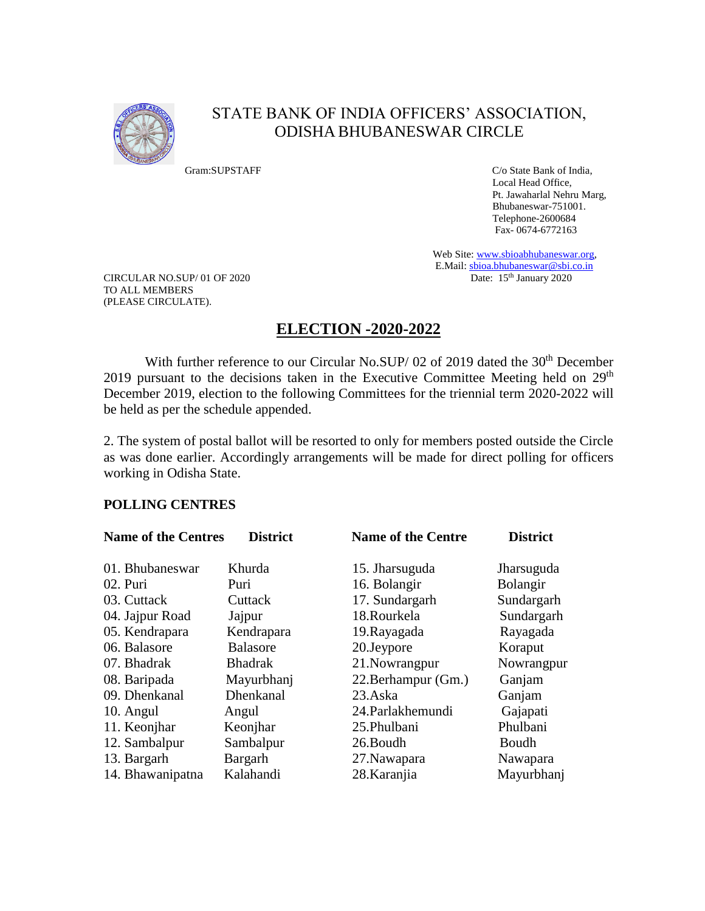

# STATE BANK OF INDIA OFFICERS' ASSOCIATION, ODISHA BHUBANESWAR CIRCLE

Gram:SUPSTAFF C/o State Bank of India, Local Head Office, Pt. Jawaharlal Nehru Marg, Bhubaneswar-751001. Telephone-2600684 Fax- 0674-6772163

> Web Site[: www.sbioabhubaneswar.org,](http://www.sbioabhubaneswar.org/) E.Mail[: sbioa.bhubaneswar@sbi.co.in](mailto:sbioa.bhubaneswar@sbi.co.in)<br>Date: 15<sup>th</sup> January 2020

CIRCULAR NO.SUP/01 OF 2020 TO ALL MEMBERS (PLEASE CIRCULATE).

## **ELECTION -2020-2022**

With further reference to our Circular No.SUP/ 02 of 2019 dated the 30<sup>th</sup> December 2019 pursuant to the decisions taken in the Executive Committee Meeting held on 29<sup>th</sup> December 2019, election to the following Committees for the triennial term 2020-2022 will be held as per the schedule appended.

2. The system of postal ballot will be resorted to only for members posted outside the Circle as was done earlier. Accordingly arrangements will be made for direct polling for officers working in Odisha State.

## **POLLING CENTRES**

| <b>Name of the Centres</b> | <b>District</b> | <b>Name of the Centre</b> | <b>District</b> |  |
|----------------------------|-----------------|---------------------------|-----------------|--|
| 01. Bhubaneswar            | Khurda          | 15. Jharsuguda            | Jharsuguda      |  |
| 02. Puri                   | Puri            | 16. Bolangir              | Bolangir        |  |
| 03. Cuttack                | Cuttack         | 17. Sundargarh            | Sundargarh      |  |
| 04. Jajpur Road            | Jajpur          | 18.Rourkela               | Sundargarh      |  |
| 05. Kendrapara             | Kendrapara      | 19. Rayagada              | Rayagada        |  |
| 06. Balasore               | <b>Balasore</b> | 20. Jeypore               | Koraput         |  |
| 07. Bhadrak                | <b>Bhadrak</b>  | 21. Nowrangpur            | Nowrangpur      |  |
| 08. Baripada               | Mayurbhanj      | 22. Berhampur (Gm.)       | Ganjam          |  |
| 09. Dhenkanal              | Dhenkanal       | 23.Aska                   | Ganjam          |  |
| 10. Angul                  | Angul           | 24. Parlakhemundi         | Gajapati        |  |
| 11. Keonjhar               | Keonjhar        | 25.Phulbani               | Phulbani        |  |
| 12. Sambalpur              | Sambalpur       | 26.Boudh                  | Boudh           |  |
| 13. Bargarh                | Bargarh         | 27. Nawapara              | Nawapara        |  |
| 14. Bhawanipatna           | Kalahandi       | 28. Karanjia              | Mayurbhanj      |  |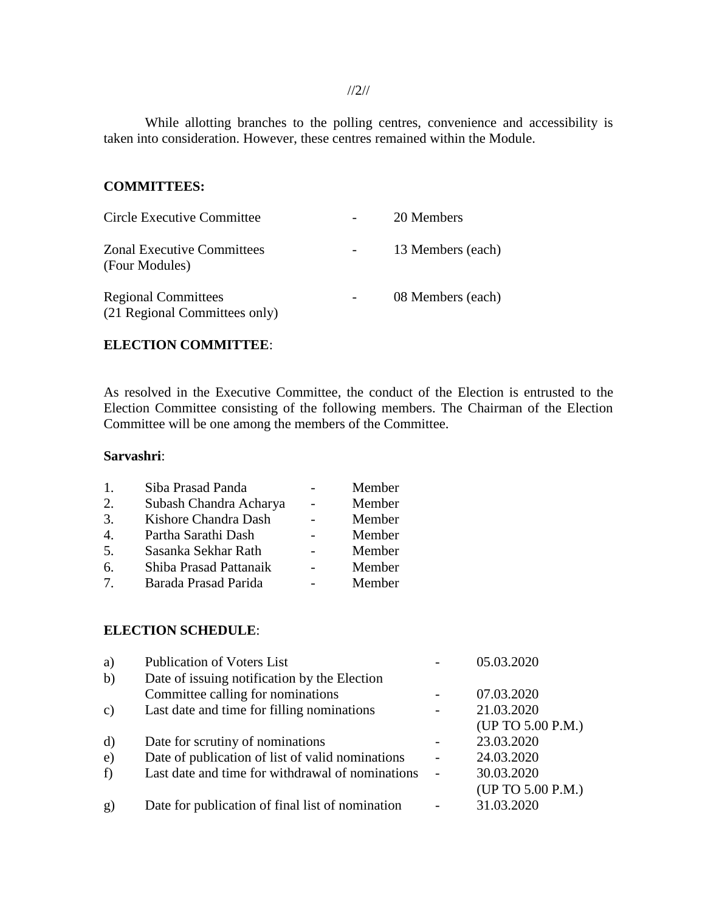While allotting branches to the polling centres, convenience and accessibility is taken into consideration. However, these centres remained within the Module.

#### **COMMITTEES:**

| Circle Executive Committee                                  | 20 Members        |
|-------------------------------------------------------------|-------------------|
| <b>Zonal Executive Committees</b><br>(Four Modules)         | 13 Members (each) |
| <b>Regional Committees</b><br>(21 Regional Committees only) | 08 Members (each) |

## **ELECTION COMMITTEE**:

As resolved in the Executive Committee, the conduct of the Election is entrusted to the Election Committee consisting of the following members. The Chairman of the Election Committee will be one among the members of the Committee.

### **Sarvashri**:

| 1.                              | Siba Prasad Panda      | Member |
|---------------------------------|------------------------|--------|
| 2.                              | Subash Chandra Acharya | Member |
| 3.                              | Kishore Chandra Dash   | Member |
| $\overline{4}$ .                | Partha Sarathi Dash    | Member |
| 5.                              | Sasanka Sekhar Rath    | Member |
| 6.                              | Shiba Prasad Pattanaik | Member |
| $7_{\scriptscriptstyle{\circ}}$ | Barada Prasad Parida   | Member |

#### **ELECTION SCHEDULE**:

| a)            | <b>Publication of Voters List</b>                | 05.03.2020        |
|---------------|--------------------------------------------------|-------------------|
| b)            | Date of issuing notification by the Election     |                   |
|               | Committee calling for nominations                | 07.03.2020        |
| $\mathbf{c})$ | Last date and time for filling nominations       | 21.03.2020        |
|               |                                                  | (UP TO 5.00 P.M.) |
| d)            | Date for scrutiny of nominations                 | 23.03.2020        |
| e)            | Date of publication of list of valid nominations | 24.03.2020        |
| f)            | Last date and time for withdrawal of nominations | 30.03.2020        |
|               |                                                  | (UP TO 5.00 P.M.) |
| g)            | Date for publication of final list of nomination | 31.03.2020        |